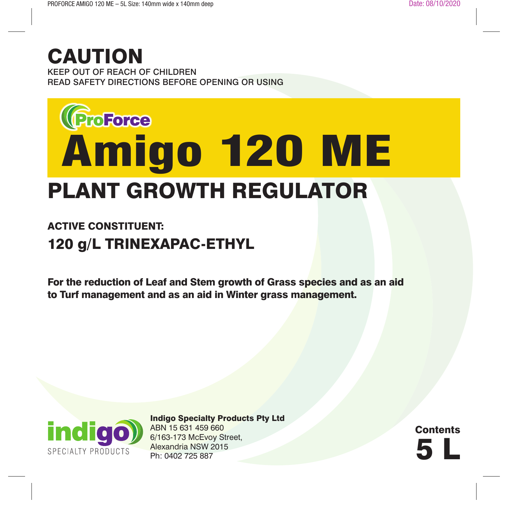## CAUTION

KEEP OUT OF REACH OF CHILDREN READ SAFETY DIRECTIONS BEFORE OPENING OR USING

# PLANT GROWTH REGULATOR **Enstance**<br>**Amigo 120 ME**

### ACTIVE CONSTITUENT: 120 g/L TRINEXAPAC-ETHYL

For the reduction of Leaf and Stem growth of Grass species and as an aid to Turf management and as an aid in Winter grass management.



Indigo Specialty Products Pty Ltd ABN 15 631 459 660 6/163-173 McEvoy Street, Alexandria NSW 2015 Ph: 0402 725 887

5 L **Contents**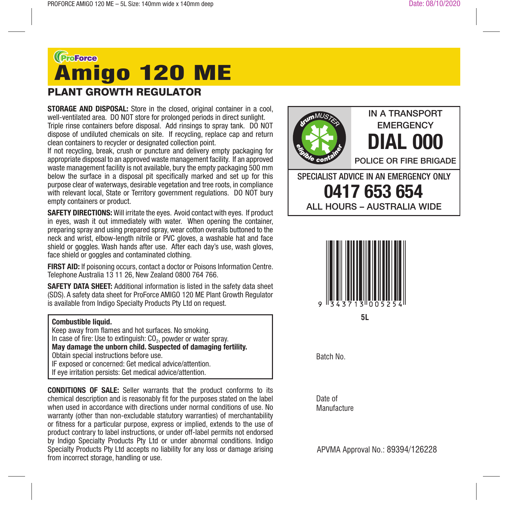## **Greege**<br>Amigo 120 ME

#### PLANT GROWTH REGULATOR

**STORAGE AND DISPOSAL:** Store in the closed, original container in a cool. well-ventilated area. DO NOT store for prolonged periods in direct sunlight. Triple rinse containers before disposal. Add rinsings to spray tank. DO NOT dispose of undiluted chemicals on site. If recycling, replace cap and return clean containers to recycler or designated collection point.

If not recycling, break, crush or puncture and delivery empty packaging for appropriate disposal to an approved waste management facility. If an approved waste management facility is not available, bury the empty packaging 500 mm below the surface in a disposal pit specifically marked and set up for this purpose clear of waterways, desirable vegetation and tree roots, in compliance with relevant local. State or Territory government regulations. DO NOT bury empty containers or product.

**SAFETY DIRECTIONS:** Will irritate the eyes. Avoid contact with eyes. If product in eyes, wash it out immediately with water. When opening the container, preparing spray and using prepared spray, wear cotton overalls buttoned to the neck and wrist, elbow-length nitrile or PVC gloves, a washable hat and face shield or goggles. Wash hands after use. After each day's use, wash gloves, face shield or goggles and contaminated clothing.

**FIRST AID:** If poisoning occurs, contact a doctor or Poisons Information Centre. Telephone Australia 13 11 26, New Zealand 0800 764 766.

**SAFETY DATA SHEET:** Additional information is listed in the safety data sheet (SDS). A safety data sheet for ProForce AMIGO 120 ME Plant Growth Regulator is available from Indigo Specialty Products Pty Ltd on request.

#### **Combustible liquid.**

Keep away from flames and hot surfaces. No smoking. In case of fire: Use to extinguish:  $CO<sub>2</sub>$ , powder or water spray. **May damage the unborn child. Suspected of damaging fertility.** Obtain special instructions before use. IF exposed or concerned: Get medical advice/attention. If eye irritation persists: Get medical advice/attention.

**CONDITIONS OF SALE:** Seller warrants that the product conforms to its chemical description and is reasonably fit for the purposes stated on the label when used in accordance with directions under normal conditions of use. No warranty (other than non-excludable statutory warranties) of merchantability or fitness for a particular purpose, express or implied, extends to the use of product contrary to label instructions, or under off-label permits not endorsed by Indigo Specialty Products Pty Ltd or under abnormal conditions. Indigo Specialty Products Pty Ltd accepts no liability for any loss or damage arising from incorrect storage, handling or use.





Batch No.

Date of **Manufacture** 

APVMA Approval No.: 89394/126228